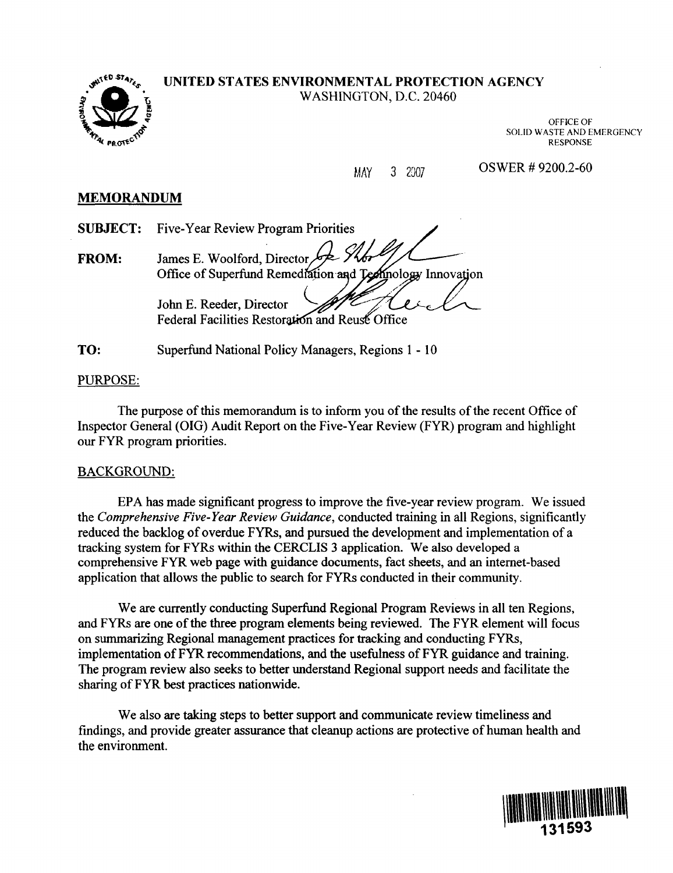

### UNITED STATES ENVIRONMENTAL PROTECTION AGENCY WASHINGTON, D.C. 20460

OFFICE OF SOLID WASTE AND EMERGENCY RESPONSE

MAY 3 2007 OSWER # 9200.2-60

## MEMORANDUM

SUBJECT: Five-Year Review Program Priorities

FROM: James E. Woolford, Director, Office of Superfund Remediation and Technology Innovation

> John E. Reeder, Director Federal Facilities Restoration and Reuse Office

TO: Superfund National Policy Managers, Regions 1-10

## PURPOSE:

The purpose of this memorandum is to inform you of the results of the recent Office of Inspector General (OIG) Audit Report on the Five-Year Review (FYR) program and highlight our FYR program priorities.

## BACKGROUND:

EPA has made significant progress to improve the five-year review program. We issued the Comprehensive Five-Year Review Guidance, conducted training in all Regions, significantly reduced the backlog of overdue FYRs, and pursued the development and implementation of a tracking system for FYRs within the CERCLIS 3 application. We also developed a comprehensive FYR web page with guidance documents, fact sheets, and an internet-based application that allows the public to search for FYRs conducted in their community.

We are currently conducting Superfund Regional Program Reviews in all ten Regions, and FYRs are one of the three program elements being reviewed. The FYR element will focus on summarizing Regional management practices for tracking and conducting FYRs, implementation of FYR recommendations, and the usefulness of FYR guidance and training. The program review also seeks to better understand Regional support needs and facilitate the sharing of FYR best practices nationwide.

We also are taking steps to better support and communicate review timeliness and findings, and provide greater assurance that cleanup actions are protective of human health and the environment.

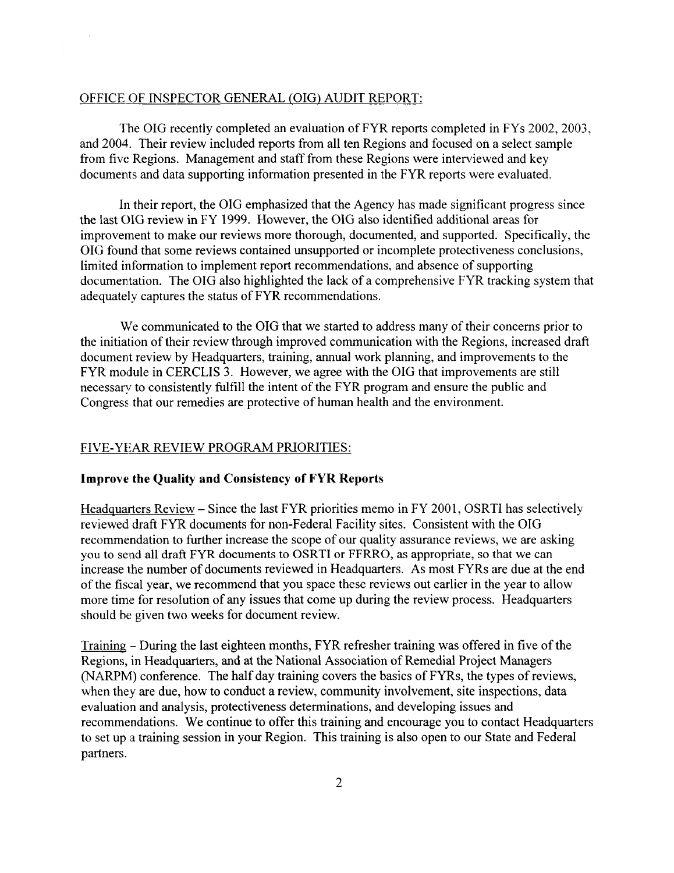#### OFFICE OF INSPECTOR GENERAL (OIG) AUDIT REPORT:

The OIG recently completed an evaluation of FYR reports completed in FYs 2002, 2003, and 2004. Their review included reports from all ten Regions and focused on a select sample from five Regions. Management and staff from these Regions were interviewed and key documents and data supporting information presented in the FYR reports were evaluated.

In their report, the OIG emphasized that the Agency has made significant progress since the last OIG review in FY 1999. However, the OIG also identified additional areas for improvement to make our reviews more thorough, documented, and supported. Specifically, the OIG found that some reviews contained unsupported or incomplete protectiveness conclusions, limited information to implement report recommendations, and absence of supporting documentation. The OIG also highlighted the lack of a comprehensive FYR tracking system that adequately captures the status of FYR recommendations.

We communicated to the OIG that we started to address many of their concerns prior to the initiation of their review through improved communication with the Regions, increased draft document review by Headquarters, training, annual work planning, and improvements to the FYR module in CERCLIS 3. However, we agree with the OIG that improvements are still necessary to consistently fulfill the intent of the FYR program and ensure the public and Congress that our remedies are protective of human health and the environment.

#### FIVE-YEAR REVIEW PROGRAM PRIORITIES:

#### Improve the Quality and Consistency of FYR Reports

Headquarters Review - Since the last FYR priorities memo in FY 2001, OSRTI has selectively reviewed draft FYR documents for non-Federal Facility sites. Consistent with the OIG recommendation to further increase the scope of our quality assurance reviews, we are asking you to send all draft FYR documents to OSRTI or FFRRO, as appropriate, so that we can increase the number of documents reviewed in Headquarters. As most FYRs are due at the end of the fiscal year, we recommend that you space these reviews out earlier in the year to allow more time for resolution of any issues that come up during the review process. Headquarters should be given two weeks for document review.

Training - During the last eighteen months, FYR refresher training was offered in five of the Regions, in Headquarters, and at the National Association of Remedial Project Managers (NARPM) conference. The half day training covers the basics of FYRs, the types of reviews, when they are due, how to conduct a review, community involvement, site inspections, data evaluation and analysis, protectiveness determinations, and developing issues and recommendations. We continue to offer this training and encourage you to contact Headquarters to set up a training session in your Region. This training is also open to our State and Federal partners.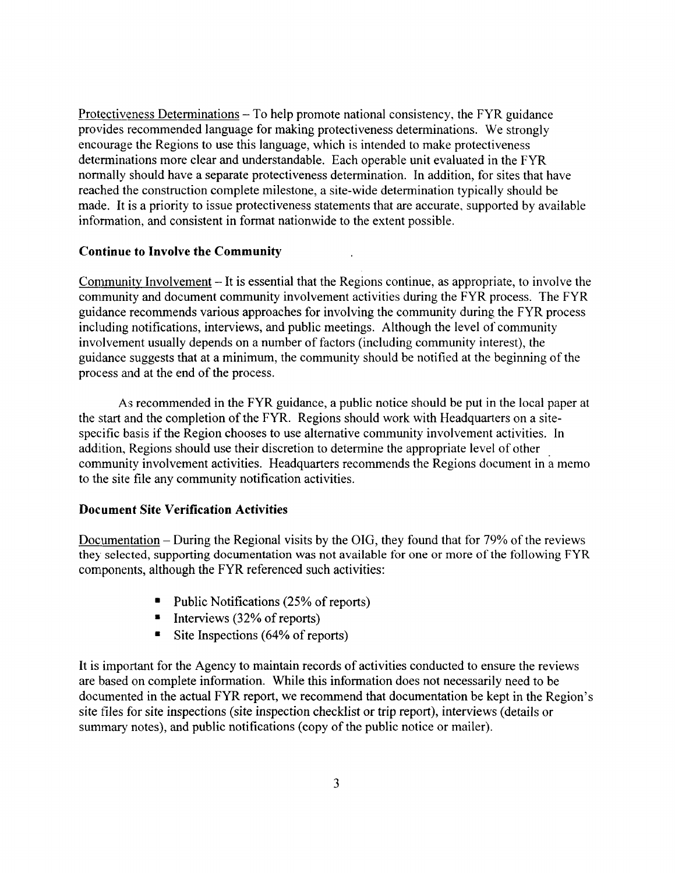Protectiveness Determinations – To help promote national consistency, the FYR guidance provides recommended language for making protectiveness determinations. We strongly encourage the Regions to use this language, which is intended to make protectiveness determinations more clear and understandable. Each operable unit evaluated in the FYR normally should have a separate protectiveness determination. In addition, for sites that have reached the construction complete milestone, a site-wide determination typically should be made. It is a priority to issue protectiveness statements that are accurate, supported by available information, and consistent in format nationwide to the extent possible.

### Continue to Involve the Community

Community Involvement - It is essential that the Regions continue, as appropriate, to involve the community and document community involvement activities during the FYR process. The FYR guidance recommends various approaches for involving the community during the FYR process including notifications, interviews, and public meetings. Although the level of community involvement usually depends on a number of factors (including community interest), the guidance suggests that at a minimum, the community should be notified at the beginning of the process and at the end of the process.

As recommended in the FYR guidance, a public notice should be put in the local paper at the start and the completion of the FYR. Regions should work with Headquarters on a sitespecific basis if the Region chooses to use alternative community involvement activities. In addition. Regions should use their discretion to determine the appropriate level of other community involvement activities. Headquarters recommends the Regions document in a memo to the site file any community notification activities.

## Document Site Verification Activities

Documentation - During the Regional visits by the OIG, they found that for 79% of the reviews they selected, supporting documentation was not available for one or more of the following FYR components, although the FYR referenced such activities:

- Public Notifications (25% of reports)
- $\blacksquare$  Interviews (32% of reports)
- $\blacksquare$  Site Inspections (64% of reports)

It is important for the Agency to maintain records of activities conducted to ensure the reviews are based on complete information. While this information does not necessarily need to be documented in the actual FYR report, we recommend that documentation be kept in the Region's site files for site inspections (site inspection checklist or trip report), interviews (details or summary notes), and public notifications (copy of the public notice or mailer).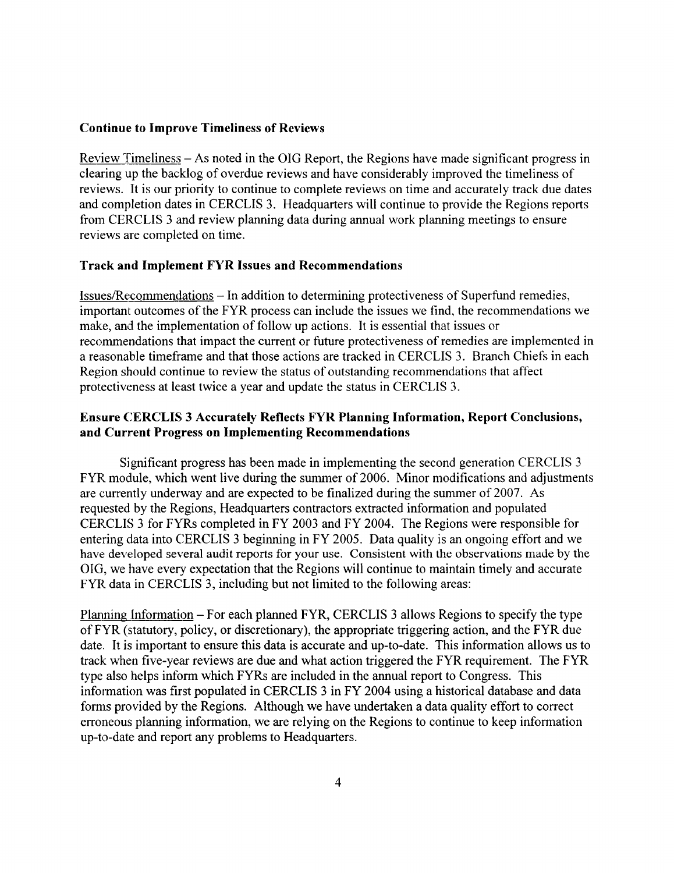#### Continue to Improve Timeliness of Reviews

Review Timeliness - As noted in the OIG Report, the Regions have made significant progress in clearing up the backlog of overdue reviews and have considerably improved the timeliness of reviews. It is our priority to continue to complete reviews on time and accurately track due dates and completion dates in CERCLIS 3. Headquarters will continue to provide the Regions reports from CERCLIS 3 and review planning data during annual work planning meetings to ensure reviews are completed on time.

### Track and Implement FYR Issues and Recommendations

Issues/Recommendations - In addition to determining protectiveness of Superfund remedies, important outcomes of the FYR process can include the issues we find, the recommendations we make, and the implementation of follow up actions. It is essential that issues or recommendations that impact the current or future protectiveness of remedies are implemented in a reasonable timeframe and that those actions are tracked in CERCLIS 3. Branch Chiefs in each Region should continue to review the status of outstanding recommendations that affect protectiveness at least twice a year and update the status in CERCLIS 3.

## Ensure CERCLIS 3 Accurately Reflects FYR Planning Information, Report Conclusions, and Current Progress on Implementing Recommendations

Significant progress has been made in implementing the second generation CERCLIS 3 FYR module, which went live during the summer of 2006. Minor modifications and adjustments are currently underway and are expected to be finalized during the summer of 2007. As requested by the Regions, Headquarters contractors extracted information and populated CERCLIS 3 for FYRs completed in FY 2003 and FY 2004. The Regions were responsible for entering data into CERCLIS 3 beginning in FY 2005. Data quality is an ongoing effort and we have developed several audit reports for your use. Consistent with the observations made by the OIG, we have every expectation that the Regions will continue to maintain timely and accurate FYR data in CERCLIS 3, including but not limited to the following areas:

Planning Information - For each planned FYR, CERCLIS 3 allows Regions to specify the type of FYR (statutory, policy, or discretionary), the appropriate triggering action, and the FYR due date. It is important to ensure this data is accurate and up-to-date. This information allows us to track when five-year reviews are due and what action triggered the FYR requirement. The FYR type also helps inform which FYRs are included in the annual report to Congress. This information was first populated in CERCLIS 3 in FY 2004 using a historical database and data forms provided by the Regions. Although we have undertaken a data quality effort to correct erroneous planning information, we are relying on the Regions to continue to keep information up-to-date and report any problems to Headquarters.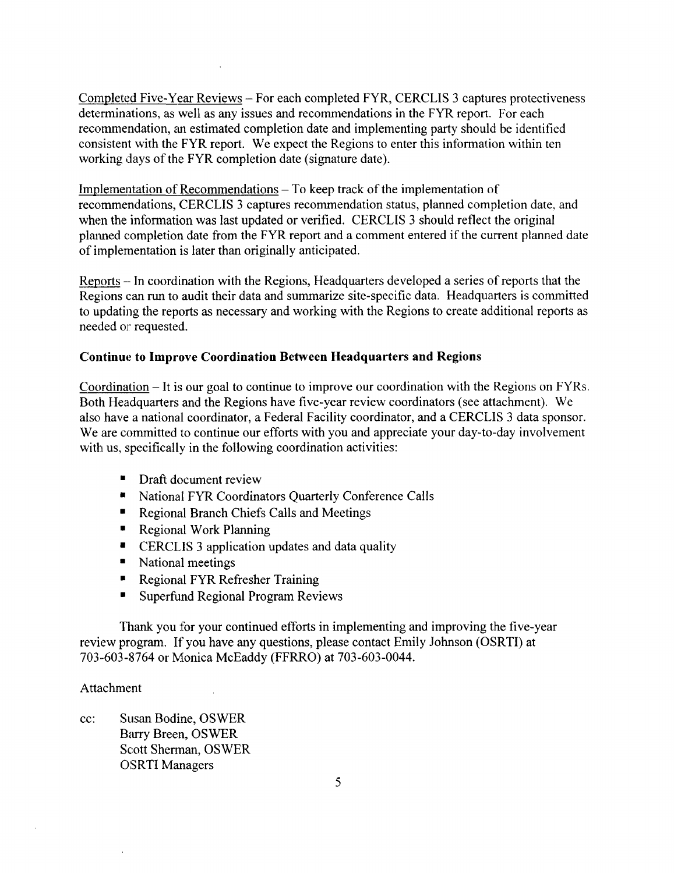Completed Five-Year Reviews - For each completed FYR, CERCLIS 3 captures protectiveness determinations, as well as any issues and recommendations in the FYR report. For each recommendation, an estimated completion date and implementing party should be identified consistent with the FYR report. We expect the Regions to enter this information within ten working days of the FYR completion date (signature date).

Implementation of Recommendations – To keep track of the implementation of recommendations, CERCLIS 3 captures recommendation status, planned completion date, and when the information was last updated or verified. CERCLIS 3 should reflect the original planned completion date from the FYR report and a comment entered if the current planned date of implementation is later than originally anticipated.

Reports - In coordination with the Regions, Headquarters developed a series of reports that the Regions can run to audit their data and summarize site-specific data. Headquarters is committed to updating the reports as necessary and working with the Regions to create additional reports as needed or requested.

## Continue to Improve Coordination Between Headquarters and Regions

Coordination - It is our goal to continue to improve our coordination with the Regions on FYRs. Both Headquarters and the Regions have five-year review coordinators (see attachment). We also have a national coordinator, a Federal Facility coordinator, and a CERCLIS 3 data sponsor. We are committed to continue our efforts with you and appreciate your day-to-day involvement with us, specifically in the following coordination activities:

- **Draft document review**
- National FYR Coordinators Quarterly Conference Calls
- Regional Branch Chiefs Calls and Meetings
- Regional Work Planning
- CERCLIS 3 application updates and data quality
- National meetings
- **•** Regional FYR Refresher Training
- **Superfund Regional Program Reviews**

Thank you for your continued efforts in implementing and improving the five-year review program. If you have any questions, please contact Emily Johnson (OSRTI) at 703-603-8764 or Monica McEaddy (FFRRO) at 703-603-0044.

#### Attachment

cc: Susan Bodine, OSWER Barry Breen, OSWER Scott Sherman, OSWER OSRTI Managers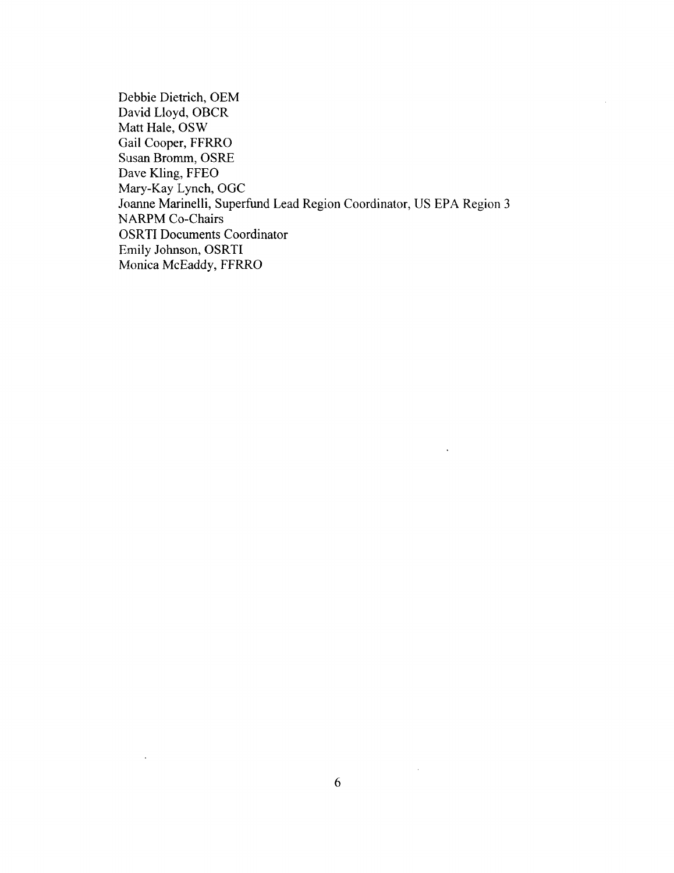Debbie Dietrich, OEM David Lloyd, OBCR Matt Hale, OSW Gail Cooper, FFRRO Susan Bromm, OSRE Dave Kling, FFEO Mary-Kay Lynch, OGC Joanne Marinelli, Superfund Lead Region Coordinator, US EPA Region 3 NARPM Co-Chairs OSRTI Documents Coordinator Emily Johnson, OSRTI Monica McEaddy, FFRRO

 $\bar{z}$ 

 $\hat{\mathcal{L}}$ 

 $\ddot{\phantom{0}}$